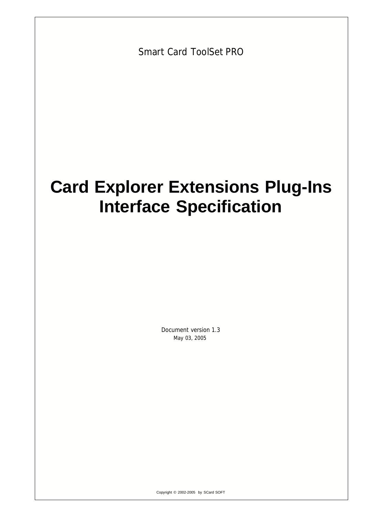Smart Card ToolSet PRO

# **Card Explorer Extensions Plug-Ins Interface Specification**

Document version 1.3 May 03, 2005

Copyright © 2002-2005 by SCard SOFT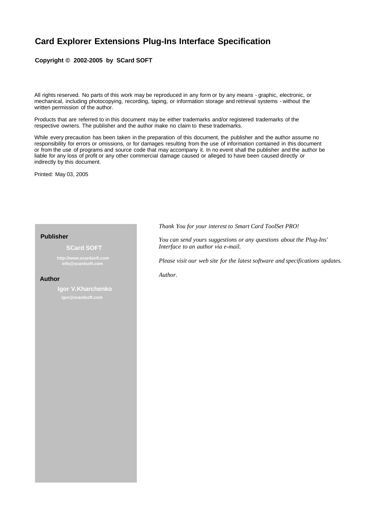## **Card Explorer Extensions Plug-Ins Interface Specification**

#### **Copyright © 2002-2005 by SCard SOFT**

All rights reserved. No parts of this work may be reproduced in any form or by any means - graphic, electronic, or mechanical, including photocopying, recording, taping, or information storage and retrieval systems - without the written permission of the author.

Products that are referred to in this document may be either trademarks and/or registered trademarks of the respective owners. The publisher and the author make no claim to these trademarks.

While every precaution has been taken in the preparation of this document, the publisher and the author assume no responsibility for errors or omissions, or for damages resulting from the use of information contained in this document or from the use of programs and source code that may accompany it. In no event shall the publisher and the author be liable for any loss of profit or any other commercial damage caused or alleged to have been caused directly or indirectly by this document.

Printed: May 03, 2005

#### **Publisher**

#### **SCard SOFT**

**http://www.scardsoft.com info@scardsoft.com**

#### **Author**

**Igor V.Kharchenko igor@scardsoft.com**

*Thank You for your interest to Smart Card ToolSet PRO!*

*You can send yours suggestions or any questions about the Plug-Ins' Interface to an author via e-mail.*

*Please visit our web site for the latest software and specifications updates.*

*Author.*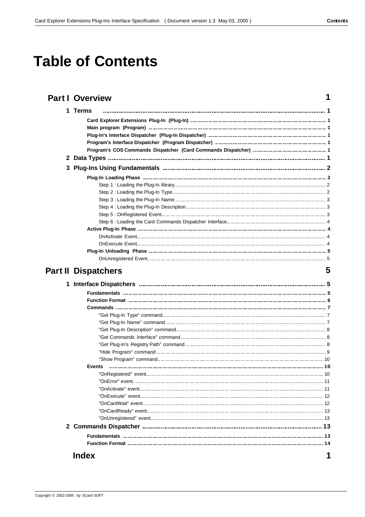$\overline{1}$ 

5

# **Table of Contents**

## **Part I Overview**

| 1 Terms                                                                             |  |
|-------------------------------------------------------------------------------------|--|
|                                                                                     |  |
|                                                                                     |  |
| Plug-In's Interface Dispatcher (Plug-In Dispatcher) …………………………………………………………………………… 1 |  |
|                                                                                     |  |
|                                                                                     |  |
|                                                                                     |  |
|                                                                                     |  |
|                                                                                     |  |
|                                                                                     |  |
|                                                                                     |  |
|                                                                                     |  |
|                                                                                     |  |
|                                                                                     |  |
|                                                                                     |  |
|                                                                                     |  |
|                                                                                     |  |
|                                                                                     |  |
|                                                                                     |  |
|                                                                                     |  |

## **Part II Dispatchers**

| Events       |  |
|--------------|--|
|              |  |
|              |  |
|              |  |
|              |  |
|              |  |
|              |  |
|              |  |
|              |  |
|              |  |
|              |  |
| <b>Index</b> |  |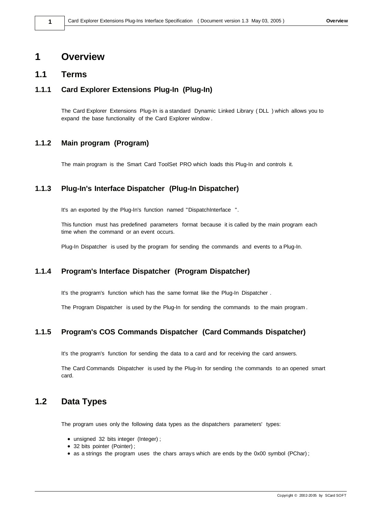## **1 Overview**

### **1.1 Terms**

## **1.1.1 Card Explorer Extensions Plug-In (Plug-In)**

The Card Explorer Extensions Plug-In is a standard Dynamic Linked Library ( DLL ) which allows you to expand the base functionality of the Card Explorer window .

### **1.1.2 Main program (Program)**

The main program is the Smart Card ToolSet PRO which loads this Plug-In and controls it.

## **1.1.3 Plug-In's Interface Dispatcher (Plug-In Dispatcher)**

It's an exported by the Plug-In's function named "DispatchInterface ".

This function must has predefined parameters format because it is called by the main program each time when the command or an event occurs.

Plug-In Dispatcher is used by the program for sending the commands and events to a Plug-In.

## **1.1.4 Program's Interface Dispatcher (Program Dispatcher)**

It's the program's function which has the same format like the Plug-In Dispatcher .

The Program Dispatcher is used by the Plug-In for sending the commands to the main program .

## **1.1.5 Program's COS Commands Dispatcher (Card Commands Dispatcher)**

It's the program's function for sending the data to a card and for receiving the card answers.

The Card Commands Dispatcher is used by the Plug-In for sending t he commands to an opened smart card.

## **1.2 Data Types**

The program uses only the following data types as the dispatchers parameters' types:

- unsigned 32 bits integer (Integer);
- 32 bits pointer (Pointer);
- as a strings the program uses the chars arrays which are ends by the 0x00 symbol (PChar);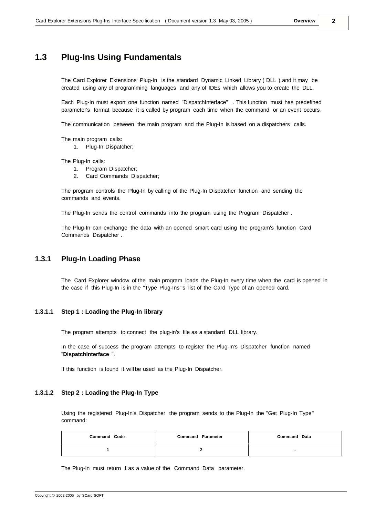## **1.3 Plug-Ins Using Fundamentals**

The Card Explorer Extensions Plug-In is the standard Dynamic Linked Library ( DLL ) and it may be created using any of programming languages and any of IDEs which allows you to create the DLL.

Each Plug-In must export one function named "DispatchInterface" . This function must has predefined parameter's format because it is called by program each time when the command or an event occurs.

The communication between the main program and the Plug-In is based on a dispatchers calls.

The main program calls:

1. Plug-In Dispatcher;

The Plug-In calls:

- 1. Program Dispatcher;
- 2. Card Commands Dispatcher;

The program controls the Plug-In by calling of the Plug-In Dispatcher function and sending the commands and events.

The Plug-In sends the control commands into the program using the Program Dispatcher .

The Plug-In can exchange the data with an opened smart card using the program's function Card Commands Dispatcher .

#### **1.3.1 Plug-In Loading Phase**

The Card Explorer window of the main program loads the Plug-In every time when the card is opened in the case if this Plug-In is in the "Type Plug-Ins"'s list of the Card Type of an opened card.

#### **1.3.1.1 Step 1 : Loading the Plug-In library**

The program attempts to connect the plug-in's file as a standard DLL library.

In the case of success the program attempts to register the Plug-In's Dispatcher function named "**DispatchInterface** ".

If this function is found it will be used as the Plug-In Dispatcher.

#### **1.3.1.2 Step 2 : Loading the Plug-In Type**

Using the registered Plug-In's Dispatcher the program sends to the Plug-In the "Get Plug-In Type" command:

| <b>Command Code</b> | <b>Command Parameter</b> | <b>Command Data</b> |
|---------------------|--------------------------|---------------------|
|                     |                          |                     |

The Plug-In must return 1 as a value of the Command Data parameter.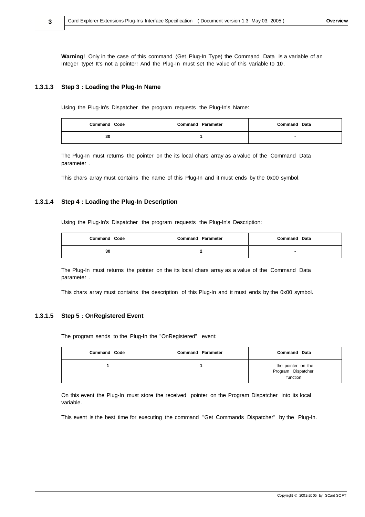**Warning!** Only in the case of this command (Get Plug-In Type) the Command Data is a variable of an Integer type! It's not a pointer! And the Plug-In must set the value of this variable to **10**.

#### **1.3.1.3 Step 3 : Loading the Plug-In Name**

**3**

Using the Plug-In's Dispatcher the program requests the Plug-In's Name:

| <b>Command Code</b> | <b>Command Parameter</b> | <b>Command Data</b> |
|---------------------|--------------------------|---------------------|
| 30                  |                          |                     |

The Plug-In must returns the pointer on the its local chars array as a value of the Command Data parameter .

This chars array must contains the name of this Plug-In and it must ends by the 0x00 symbol.

#### **1.3.1.4 Step 4 : Loading the Plug-In Description**

Using the Plug-In's Dispatcher the program requests the Plug-In's Description:

| <b>Command Code</b> | <b>Command Parameter</b> | <b>Command Data</b> |
|---------------------|--------------------------|---------------------|
| 30                  |                          |                     |

The Plug-In must returns the pointer on the its local chars array as a value of the Command Data parameter .

This chars array must contains the description of this Plug-In and it must ends by the 0x00 symbol.

#### **1.3.1.5 Step 5 : OnRegistered Event**

The program sends to the Plug-In the "OnRegistered" event:

| <b>Command Code</b> | <b>Command Parameter</b> | <b>Command Data</b>                                  |
|---------------------|--------------------------|------------------------------------------------------|
|                     |                          | the pointer on the<br>Program Dispatcher<br>function |

On this event the Plug-In must store the received pointer on the Program Dispatcher into its local variable.

This event is the best time for executing the command "Get Commands Dispatcher" by the Plug-In.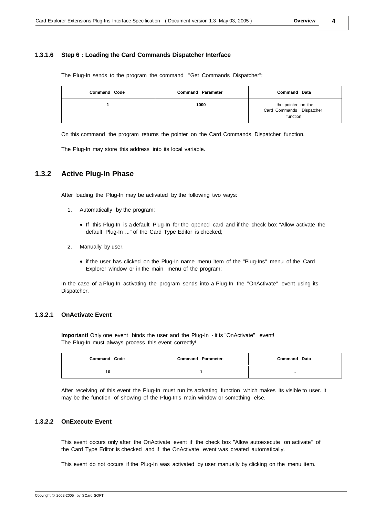#### **4**

#### **1.3.1.6 Step 6 : Loading the Card Commands Dispatcher Interface**

The Plug-In sends to the program the command "Get Commands Dispatcher":

| <b>Command Code</b> | <b>Command Parameter</b> | <b>Command Data</b>                                        |
|---------------------|--------------------------|------------------------------------------------------------|
|                     | 1000                     | the pointer on the<br>Card Commands Dispatcher<br>function |

On this command the program returns the pointer on the Card Commands Dispatcher function.

The Plug-In may store this address into its local variable.

#### **1.3.2 Active Plug-In Phase**

After loading the Plug-In may be activated by the following two ways:

- 1. Automatically by the program:
	- · If this Plug-In is a default Plug-In for the opened card and if the check box "Allow activate the default Plug-In ..." of the Card Type Editor is checked;
- 2. Manually by user:
	- · if the user has clicked on the Plug-In name menu item of the "Plug-Ins" menu of the Card Explorer window or in the main menu of the program;

In the case of a Plug-In activating the program sends into a Plug-In the "OnActivate" event using its Dispatcher.

#### **1.3.2.1 OnActivate Event**

**Important!** Only one event binds the user and the Plug-In - it is "OnActivate" event! The Plug-In must always process this event correctly!

| <b>Command Code</b> | <b>Command Parameter</b> | <b>Command Data</b> |
|---------------------|--------------------------|---------------------|
| 10                  |                          |                     |

After receiving of this event the Plug-In must run its activating function which makes its visible to user. It may be the function of showing of the Plug-In's main window or something else.

#### **1.3.2.2 OnExecute Event**

This event occurs only after the OnActivate event if the check box "Allow autoexecute on activate" of the Card Type Editor is checked and if the OnActivate event was created automatically.

This event do not occurs if the Plug-In was activated by user manually by clicking on the menu item.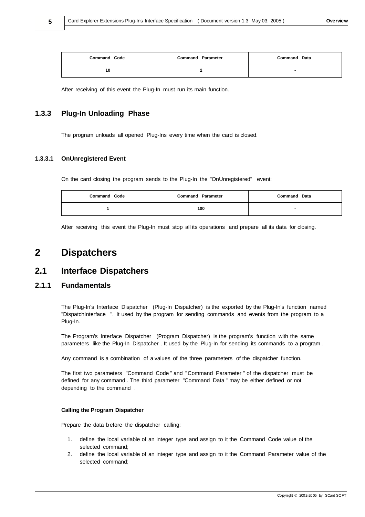| <b>Command Code</b> | <b>Command Parameter</b> | <b>Command Data</b> |
|---------------------|--------------------------|---------------------|
| 10                  |                          |                     |

After receiving of this event the Plug-In must run its main function.

#### **1.3.3 Plug-In Unloading Phase**

The program unloads all opened Plug-Ins every time when the card is closed.

#### **1.3.3.1 OnUnregistered Event**

On the card closing the program sends to the Plug-In the "OnUnregistered" event:

| <b>Command Code</b> | <b>Command Parameter</b> | <b>Command Data</b> |
|---------------------|--------------------------|---------------------|
|                     | 100                      |                     |

After receiving this event the Plug-In must stop all its operations and prepare all its data for closing.

## **2 Dispatchers**

#### **2.1 Interface Dispatchers**

#### **2.1.1 Fundamentals**

The Plug-In's Interface Dispatcher (Plug-In Dispatcher) is the exported by the Plug-In's function named "DispatchInterface ". It used by the program for sending commands and events from the program to a Plug-In.

The Program's Interface Dispatcher (Program Dispatcher) is the program's function with the same parameters like the Plug-In Dispatcher . It used by the Plug-In for sending its commands to a program .

Any command is a combination of a values of the three parameters of the dispatcher function.

The first two parameters "Command Code " and "Command Parameter " of the dispatcher must be defined for any command . The third parameter "Command Data " may be either defined or not depending to the command .

#### **Calling the Program Dispatcher**

Prepare the data before the dispatcher calling:

- 1. define the local variable of an integer type and assign to it the Command Code value of the selected command;
- 2. define the local variable of an integer type and assign to it the Command Parameter value of the selected command;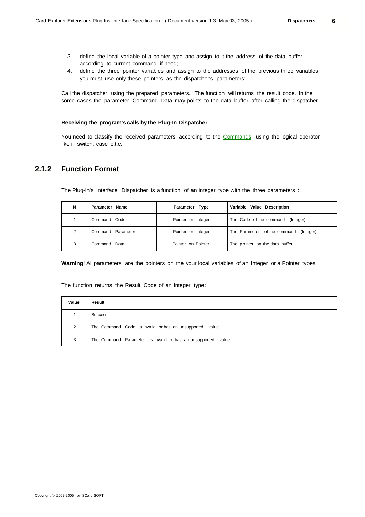- 3. define the local variable of a pointer type and assign to it the address of the data buffer according to current command if need;
- 4. define the three pointer variables and assign to the addresses of the previous three variables; you must use only these pointers as the dispatcher's parameters;

Call the dispatcher using the prepared parameters. The function will returns the result code. In the some cases the parameter Command Data may points to the data buffer after calling the dispatcher.

#### **Receiving the program's calls by the Plug-In Dispatcher**

You need to classify the received parameters according to the [Commands](#page-9-0) using the logical operator like if, switch, case e.t.c.

#### **2.1.2 Function Format**

The Plug-In's Interface Dispatcher is a function of an integer type with the three parameters :

| N | Parameter Name    | Parameter Type     | Variable Value Description             |
|---|-------------------|--------------------|----------------------------------------|
|   | Command Code      | Pointer on Integer | The Code of the command (Integer)      |
| 2 | Command Parameter | Pointer on Integer | The Parameter of the command (Integer) |
| 3 | Command Data      | Pointer on Pointer | The pointer on the data buffer         |

**Warning**! All parameters are the pointers on the your local variables of an Integer or a Pointer types!

The function returns the Result Code of an Integer type:

| Value | Result                                                       |
|-------|--------------------------------------------------------------|
|       | Success                                                      |
| 2     | The Command Code is invalid or has an unsupported<br>value   |
| 3     | The Command Parameter is invalid or has an unsupported value |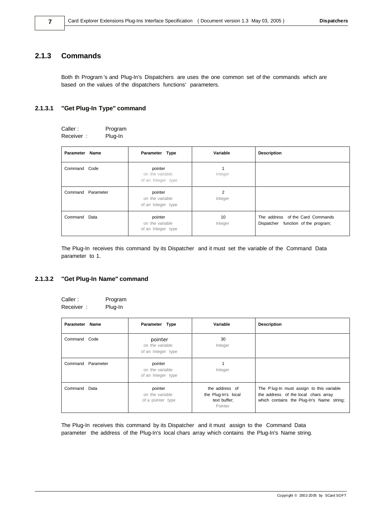#### <span id="page-9-0"></span>**2.1.3 Commands**

Both th Program 's and Plug-In's Dispatchers are uses the one common set of the commands which are based on the values of the dispatchers functions' parameters.

#### **2.1.3.1 "Get Plug-In Type" command**

| Caller:   | Program |
|-----------|---------|
| Receiver: | Plug-In |

| Parameter Name |                   | Parameter Type                                   | Variable      | <b>Description</b>                                                      |
|----------------|-------------------|--------------------------------------------------|---------------|-------------------------------------------------------------------------|
| Command Code   |                   | pointer<br>on the variable<br>of an Integer type | Integer       |                                                                         |
|                | Command Parameter | pointer<br>on the variable<br>of an Integer type | 2<br>Integer  |                                                                         |
| Command Data   |                   | pointer<br>on the variable<br>of an Integer type | 10<br>Integer | The address of the Card Commands<br>Dispatcher function of the program; |

The Plug-In receives this command by its Dispatcher and it must set the variable of the Command Data parameter to 1.

#### **2.1.3.2 "Get Plug-In Name" command**

| Caller:   | Program |
|-----------|---------|
| Receiver: | Plug-In |

| Parameter Name    | Parameter Type                                   | Variable                                                         | <b>Description</b>                                                                                                            |
|-------------------|--------------------------------------------------|------------------------------------------------------------------|-------------------------------------------------------------------------------------------------------------------------------|
| Command Code      | pointer<br>on the variable<br>of an Integer type | 30<br>Integer                                                    |                                                                                                                               |
| Command Parameter | pointer<br>on the variable<br>of an Integer type | Integer                                                          |                                                                                                                               |
| Command Data      | pointer<br>on the variable<br>of a pointer type  | the address of<br>the Plug-In's local<br>text buffer;<br>Pointer | The Plug-In must assign to this variable<br>the address of the local chars array<br>which contains the Plug-In's Name string; |

The Plug-In receives this command by its Dispatcher and it must assign to the Command Data parameter the address of the Plug-In's local chars array which contains the Plug-In's Name string.

**7**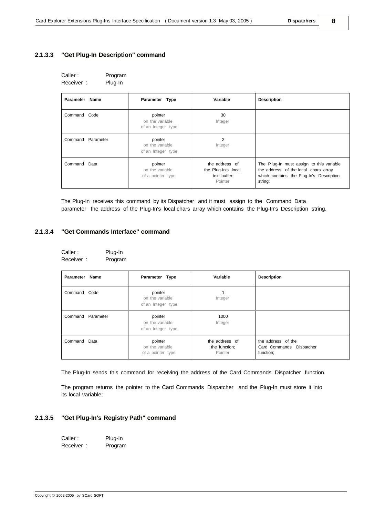#### **2.1.3.3 "Get Plug-In Description" command**

| Caller:   | Program |
|-----------|---------|
| Receiver: | Plug-In |

| Parameter Name    | Parameter Type                                   | Variable                                                         | <b>Description</b>                                                                                                                      |
|-------------------|--------------------------------------------------|------------------------------------------------------------------|-----------------------------------------------------------------------------------------------------------------------------------------|
| Command Code      | pointer<br>on the variable<br>of an Integer type | 30<br>Integer                                                    |                                                                                                                                         |
| Command Parameter | pointer<br>on the variable<br>of an Integer type | 2<br>Integer                                                     |                                                                                                                                         |
| Command Data      | pointer<br>on the variable<br>of a pointer type  | the address of<br>the Plug-In's local<br>text buffer;<br>Pointer | The Plug-In must assign to this variable<br>the address of the local chars array<br>which contains the Plug-In's Description<br>string; |

The Plug-In receives this command by its Dispatcher and it must assign to the Command Data parameter the address of the Plug-In's local chars array which contains the Plug-In's Description string.

#### **2.1.3.4 "Get Commands Interface" command**

| Caller :  | Plug-In |
|-----------|---------|
| Receiver: | Program |

| Parameter Name |                   | Parameter Type                                   | Variable                                   | <b>Description</b>                                          |
|----------------|-------------------|--------------------------------------------------|--------------------------------------------|-------------------------------------------------------------|
| Command Code   |                   | pointer<br>on the variable<br>of an Integer type | Integer                                    |                                                             |
|                | Command Parameter | pointer<br>on the variable<br>of an Integer type | 1000<br>Integer                            |                                                             |
| Command        | Data              | pointer<br>on the variable<br>of a pointer type  | the address of<br>the function;<br>Pointer | the address of the<br>Card Commands Dispatcher<br>function; |

The Plug-In sends this command for receiving the address of the Card Commands Dispatcher function.

The program returns the pointer to the Card Commands Dispatcher and the Plug-In must store it into its local variable;

#### **2.1.3.5 "Get Plug-In's Registry Path" command**

| Caller:   | Plug-In |
|-----------|---------|
| Receiver: | Program |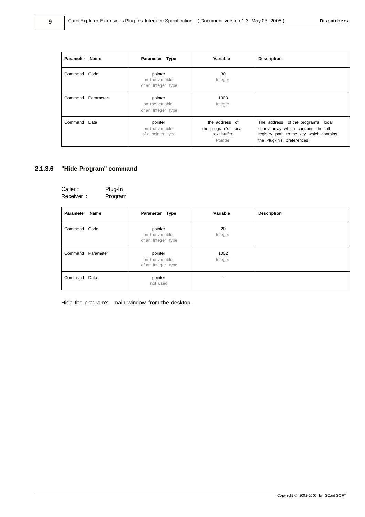| Parameter Name    | Parameter Type                                   | Variable                                                         | <b>Description</b>                                                                                                                                 |
|-------------------|--------------------------------------------------|------------------------------------------------------------------|----------------------------------------------------------------------------------------------------------------------------------------------------|
| Command Code      | pointer<br>on the variable<br>of an Integer type | 30<br>Integer                                                    |                                                                                                                                                    |
| Command Parameter | pointer<br>on the variable<br>of an Integer type | 1003<br>Integer                                                  |                                                                                                                                                    |
| Command Data      | pointer<br>on the variable<br>of a pointer type  | the address of<br>the program's local<br>text buffer;<br>Pointer | The address of the program's local<br>chars array which contains the full<br>registry path to the key which contains<br>the Plug-In's preferences; |

### **2.1.3.6 "Hide Program" command**

| Caller:   | Plug-In |
|-----------|---------|
| Receiver: | Program |

| Parameter Name    | Parameter Type                                   | Variable        | <b>Description</b> |
|-------------------|--------------------------------------------------|-----------------|--------------------|
| Command Code      | pointer<br>on the variable<br>of an Integer type | 20<br>Integer   |                    |
| Command Parameter | pointer<br>on the variable<br>of an Integer type | 1002<br>Integer |                    |
| Command Data      | pointer<br>not used                              | ۰               |                    |

Hide the program's main window from the desktop.

**9**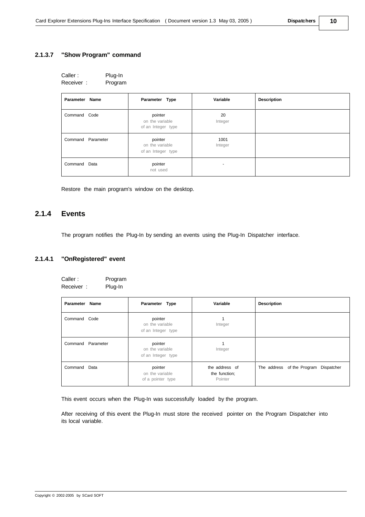| Caller :  | Plug-In |
|-----------|---------|
| Receiver: | Program |

| Parameter Name    | Parameter Type                                   | Variable        | <b>Description</b> |
|-------------------|--------------------------------------------------|-----------------|--------------------|
| Command Code      | pointer<br>on the variable<br>of an Integer type | 20<br>Integer   |                    |
| Command Parameter | pointer<br>on the variable<br>of an Integer type | 1001<br>Integer |                    |
| Command Data      | pointer<br>not used                              | ۰               |                    |

Restore the main program's window on the desktop.

### **2.1.4 Events**

The program notifies the Plug-In by sending an events using the Plug-In Dispatcher interface.

#### **2.1.4.1 "OnRegistered" event**

| Caller:   | Program |
|-----------|---------|
| Receiver: | Plug-In |

| Parameter Name    | Parameter Type                                   | Variable                                   | <b>Description</b>                    |
|-------------------|--------------------------------------------------|--------------------------------------------|---------------------------------------|
| Command Code      | pointer<br>on the variable<br>of an Integer type | Integer                                    |                                       |
| Command Parameter | pointer<br>on the variable<br>of an Integer type | Integer                                    |                                       |
| Command Data      | pointer<br>on the variable<br>of a pointer type  | the address of<br>the function;<br>Pointer | The address of the Program Dispatcher |

This event occurs when the Plug-In was successfully loaded by the program.

After receiving of this event the Plug-In must store the received pointer on the Program Dispatcher into its local variable.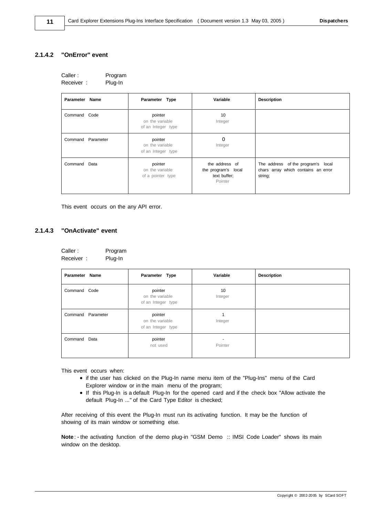#### **2.1.4.2 "OnError" event**

| Caller:   | Program |
|-----------|---------|
| Receiver: | Plug-In |

| Parameter Name    | Parameter Type                                   | Variable                                                         | <b>Description</b>                                                                   |
|-------------------|--------------------------------------------------|------------------------------------------------------------------|--------------------------------------------------------------------------------------|
| Command Code      | pointer<br>on the variable<br>of an Integer type | 10<br>Integer                                                    |                                                                                      |
| Command Parameter | pointer<br>on the variable<br>of an Integer type | $\circ$<br>Integer                                               |                                                                                      |
| Command Data      | pointer<br>on the variable<br>of a pointer type  | the address of<br>the program's local<br>text buffer;<br>Pointer | The address of the program's local<br>chars array which contains an error<br>string; |

This event occurs on the any API error.

#### **2.1.4.3 "OnActivate" event**

| Caller:   | Program |
|-----------|---------|
| Receiver: | Plug-In |

| Parameter Name    | Parameter Type                                   | Variable      | <b>Description</b> |
|-------------------|--------------------------------------------------|---------------|--------------------|
| Command Code      | pointer<br>on the variable<br>of an Integer type | 10<br>Integer |                    |
| Command Parameter | pointer<br>on the variable<br>of an Integer type | Integer       |                    |
| Command Data      | pointer<br>not used                              | Pointer       |                    |

This event occurs when:

- · if the user has clicked on the Plug-In name menu item of the "Plug-Ins" menu of the Card Explorer window or in the main menu of the program;
- · If this Plug-In is a default Plug-In for the opened card and if the check box "Allow activate the default Plug-In ..." of the Card Type Editor is checked;

After receiving of this event the Plug-In must run its activating function. It may be the function of showing of its main window or something else.

**Note**: - the activating function of the demo plug-in "GSM Demo :: IMSI Code Loader" shows its main window on the desktop.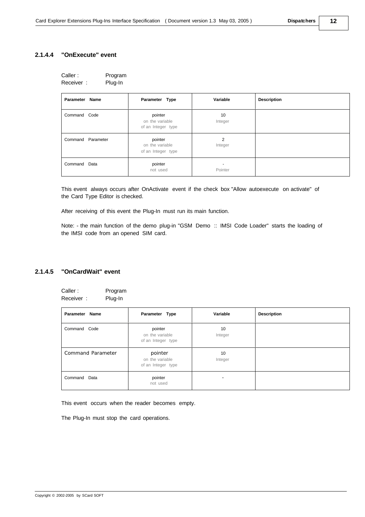#### **12**

#### **2.1.4.4 "OnExecute" event**

| Caller:   | Program |
|-----------|---------|
| Receiver: | Plug-In |

| Parameter Name    | Parameter Type                                   | Variable      | <b>Description</b> |
|-------------------|--------------------------------------------------|---------------|--------------------|
| Command Code      | pointer<br>on the variable<br>of an Integer type | 10<br>Integer |                    |
| Command Parameter | pointer<br>on the variable<br>of an Integer type | 2<br>Integer  |                    |
| Command Data      | pointer<br>not used                              | -<br>Pointer  |                    |

This event always occurs after OnActivate event if the check box "Allow autoexecute on activate" of the Card Type Editor is checked.

After receiving of this event the Plug-In must run its main function.

Note: - the main function of the demo plug-in "GSM Demo :: IMSI Code Loader" starts the loading of the IMSI code from an opened SIM card.

#### **2.1.4.5 "OnCardWait" event**

| Caller:   | Program |
|-----------|---------|
| Receiver: | Plug-In |

| Parameter Name    | Parameter Type                                   | Variable      | <b>Description</b> |
|-------------------|--------------------------------------------------|---------------|--------------------|
| Command Code      | pointer<br>on the variable<br>of an Integer type | 10<br>Integer |                    |
| Command Parameter | pointer<br>on the variable<br>of an Integer type | 10<br>Integer |                    |
| Data<br>Command   | pointer<br>not used                              | ۰             |                    |

This event occurs when the reader becomes empty.

The Plug-In must stop the card operations.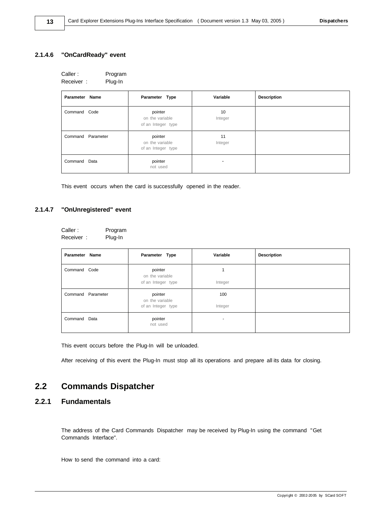#### **2.1.4.6 "OnCardReady" event**

**13**

| Caller:   | Program |
|-----------|---------|
| Receiver: | Plug-In |

| Parameter Name    | Parameter Type                                   | Variable                 | <b>Description</b> |
|-------------------|--------------------------------------------------|--------------------------|--------------------|
| Command Code      | pointer<br>on the variable<br>of an Integer type | 10<br>Integer            |                    |
| Command Parameter | pointer<br>on the variable<br>of an Integer type | 11<br>Integer            |                    |
| Command Data      | pointer<br>not used                              | $\overline{\phantom{0}}$ |                    |

This event occurs when the card is successfully opened in the reader.

#### **2.1.4.7 "OnUnregistered" event**

| Caller :  | Program |
|-----------|---------|
| Receiver: | Plug-In |

| Parameter Name    | Parameter Type             | Variable | <b>Description</b> |
|-------------------|----------------------------|----------|--------------------|
| Command Code      | pointer<br>on the variable |          |                    |
|                   | of an Integer type         | Integer  |                    |
| Command Parameter | pointer<br>on the variable | 100      |                    |
|                   | of an Integer type         | Integer  |                    |
| Command Data      | pointer<br>not used        | ۰        |                    |

This event occurs before the Plug-In will be unloaded.

After receiving of this event the Plug-In must stop all its operations and prepare all its data for closing.

## **2.2 Commands Dispatcher**

### **2.2.1 Fundamentals**

The address of the Card Commands Dispatcher may be received by Plug-In using the command "Get Commands Interface".

How to send the command into a card: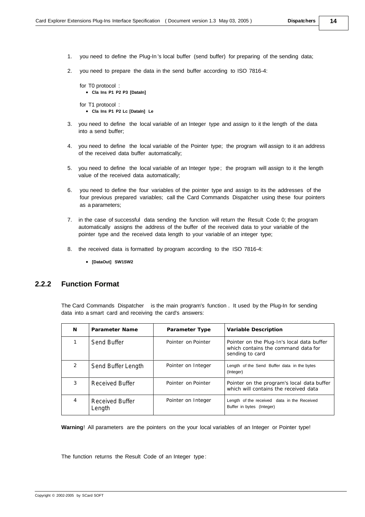- **14**
- 1. you need to define the Plug-In 's local buffer (send buffer) for preparing of the sending data;
- 2. you need to prepare the data in the send buffer according to ISO 7816-4:

```
for T0 protocol :
  · Cla Ins P1 P2 P3 [DataIn]
for T1 protocol :
```
- · **Cla Ins P1 P2 Lc [DataIn] Le**
- 3. you need to define the local variable of an Integer type and assign to it the length of the data into a send buffer;
- 4. you need to define the local variable of the Pointer type; the program will assign to it an address of the received data buffer automatically;
- 5. you need to define the local variable of an Integer type; the program will assign to it the length value of the received data automatically;
- 6. you need to define the four variables of the pointer type and assign to its the addresses of the four previous prepared variables; call the Card Commands Dispatcher using these four pointers as a parameters;
- 7. in the case of successful data sending the function will return the Result Code 0; the program automatically assigns the address of the buffer of the received data to your variable of the pointer type and the received data length to your variable of an integer type:
- 8. the received data is formatted by program according to the ISO 7816-4:
	- · **[DataOut] SW1SW2**

#### **2.2.2 Function Format**

The Card Commands Dispatcher is the main program's function . It used by the Plug-In for sending data into a smart card and receiving the card's answers:

| N             | Parameter Name            | Parameter Type     | Variable Description                                                                                 |
|---------------|---------------------------|--------------------|------------------------------------------------------------------------------------------------------|
|               | Send Buffer               | Pointer on Pointer | Pointer on the Plug-In's local data buffer<br>which contains the command data for<br>sending to card |
| $\mathcal{P}$ | Send Buffer Length        | Pointer on Integer | Length of the Send Buffer data in the bytes<br>(Integer)                                             |
| 3             | Received Buffer           | Pointer on Pointer | Pointer on the program's local data buffer<br>which will contains the received data                  |
|               | Received Buffer<br>Length | Pointer on Integer | Length of the received data in the Received<br>Buffer in bytes (Integer)                             |

**Warning**! All parameters are the pointers on the your local variables of an Integer or Pointer type!

The function returns the Result Code of an Integer type: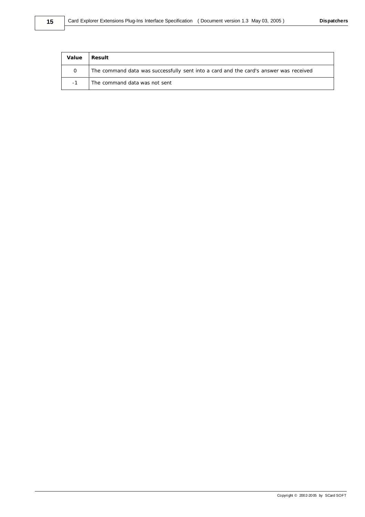| Value | l Result.                                                                             |
|-------|---------------------------------------------------------------------------------------|
|       | The command data was successfully sent into a card and the card's answer was received |
| $-1$  | The command data was not sent                                                         |